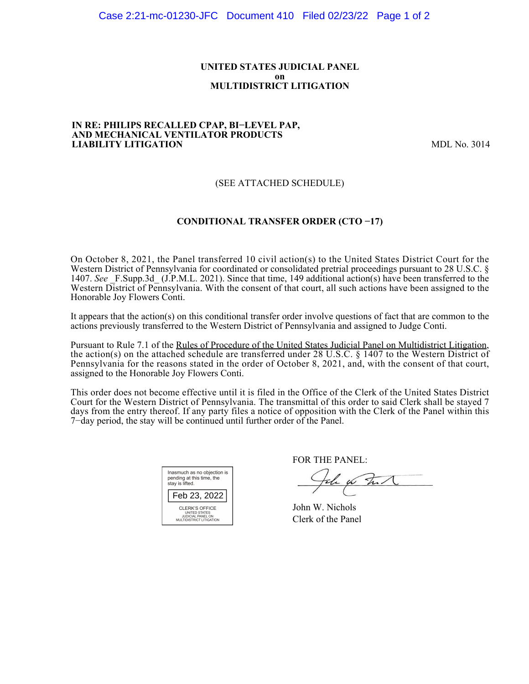### **UNITED STATES JUDICIAL PANEL on MULTIDISTRICT LITIGATION**

#### **IN RE: PHILIPS RECALLED CPAP, BI−LEVEL PAP, AND MECHANICAL VENTILATOR PRODUCTS LIABILITY LITIGATION** MDL No. 3014

## (SEE ATTACHED SCHEDULE)

### **CONDITIONAL TRANSFER ORDER (CTO −17)**

On October 8, 2021, the Panel transferred 10 civil action(s) to the United States District Court for the Western District of Pennsylvania for coordinated or consolidated pretrial proceedings pursuant to 28 U.S.C. § 1407. *See* \_F.Supp.3d\_ (J.P.M.L. 2021). Since that time, 149 additional action(s) have been transferred to the Western District of Pennsylvania. With the consent of that court, all such actions have been assigned to the Honorable Joy Flowers Conti.

It appears that the action(s) on this conditional transfer order involve questions of fact that are common to the actions previously transferred to the Western District of Pennsylvania and assigned to Judge Conti.

Pursuant to Rule 7.1 of the Rules of Procedure of the United States Judicial Panel on Multidistrict Litigation, the action(s) on the attached schedule are transferred under 28 U.S.C. § 1407 to the Western District of Pennsylvania for the reasons stated in the order of October 8, 2021, and, with the consent of that court, assigned to the Honorable Joy Flowers Conti.

This order does not become effective until it is filed in the Office of the Clerk of the United States District Court for the Western District of Pennsylvania. The transmittal of this order to said Clerk shall be stayed 7 days from the entry thereof. If any party files a notice of opposition with the Clerk of the Panel within this 7−day period, the stay will be continued until further order of the Panel.

| Inasmuch as no objection is<br>pending at this time, the<br>stay is lifted.             |
|-----------------------------------------------------------------------------------------|
| Feb 23, 2022                                                                            |
| CLERK'S OFFICE<br><b>UNITED STATES</b><br>JUDICIAL PANEL ON<br>MULTIDISTRICT LITIGATION |

FOR THE PANEL:

John for Full

John W. Nichols Clerk of the Panel